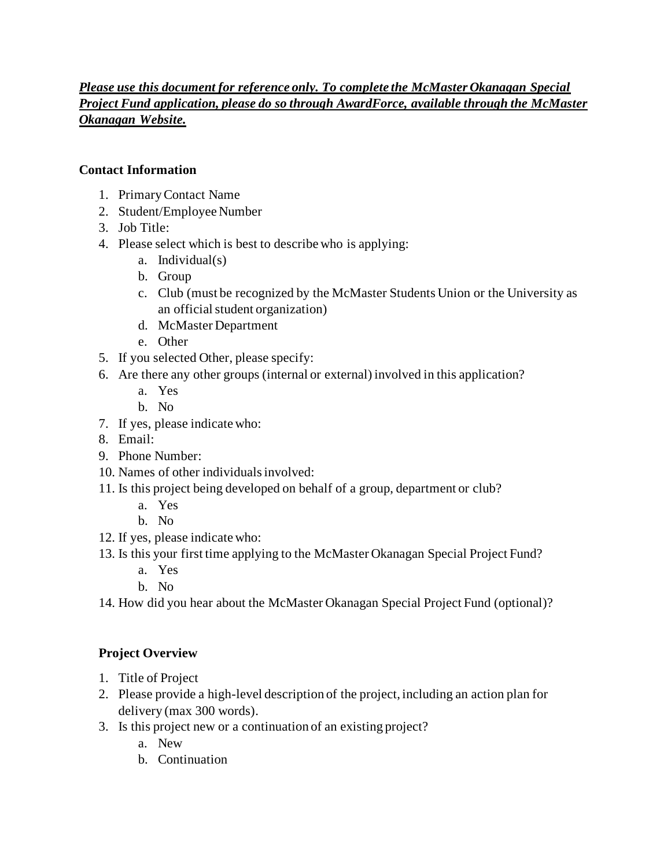### *Please use this document for reference only. To complete the McMaster Okanagan Special Project Fund application, please do so through AwardForce, available through the McMaster Okanagan Website.*

#### **Contact Information**

- 1. Primary Contact Name
- 2. Student/Employee Number
- 3. Job Title:
- 4. Please select which is best to describe who is applying:
	- a. Individual(s)
	- b. Group
	- c. Club (must be recognized by the McMaster Students Union or the University as an official student organization)
	- d. McMaster Department
	- e. Other
- 5. If you selected Other, please specify:
- 6. Are there any other groups (internal or external) involved in this application?
	- a. Yes
	- b. No
- 7. If yes, please indicate who:
- 8. Email:
- 9. Phone Number:
- 10. Names of other individuals involved:
- 11. Is this project being developed on behalf of a group, department or club?
	- a. Yes
	- b. No
- 12. If yes, please indicate who:
- 13. Is this your first time applying to the McMaster Okanagan Special Project Fund?
	- a. Yes
	- b. No
- 14. How did you hear about the McMaster Okanagan Special Project Fund (optional)?

### **Project Overview**

- 1. Title of Project
- 2. Please provide a high-level description of the project, including an action plan for delivery (max 300 words).
- 3. Is this project new or a continuation of an existing project?
	- a. New
	- b. Continuation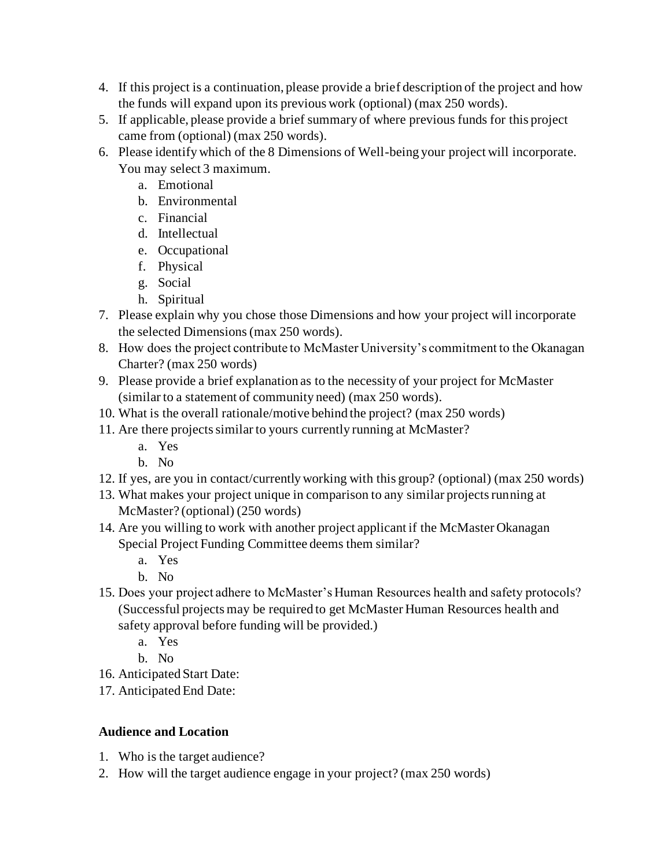- 4. If this project is a continuation, please provide a brief description of the project and how the funds will expand upon its previous work (optional) (max 250 words).
- 5. If applicable, please provide a brief summary of where previous funds for this project came from (optional) (max 250 words).
- 6. Please identify which of the 8 Dimensions of Well-being your project will incorporate. You may select 3 maximum.
	- a. Emotional
	- b. Environmental
	- c. Financial
	- d. Intellectual
	- e. Occupational
	- f. Physical
	- g. Social
	- h. Spiritual
- 7. Please explain why you chose those Dimensions and how your project will incorporate the selected Dimensions(max 250 words).
- 8. How does the project contribute to McMaster University's commitment to the Okanagan Charter? (max 250 words)
- 9. Please provide a brief explanation as to the necessity of your project for McMaster (similar to a statement of community need) (max 250 words).
- 10. What is the overall rationale/motive behind the project? (max 250 words)
- 11. Are there projects similar to yours currently running at McMaster?
	- a. Yes
	- b. No
- 12. If yes, are you in contact/currently working with this group? (optional) (max 250 words)
- 13. What makes your project unique in comparison to any similar projects running at McMaster? (optional) (250 words)
- 14. Are you willing to work with another project applicant if the McMaster Okanagan Special Project Funding Committee deems them similar?
	- a. Yes
	- b. No
- 15. Does your project adhere to McMaster's Human Resources health and safety protocols? (Successful projects may be required to get McMaster Human Resources health and safety approval before funding will be provided.)
	- a. Yes
	- b. No
- 16. Anticipated Start Date:
- 17. Anticipated End Date:

# **Audience and Location**

- 1. Who is the target audience?
- 2. How will the target audience engage in your project? (max 250 words)